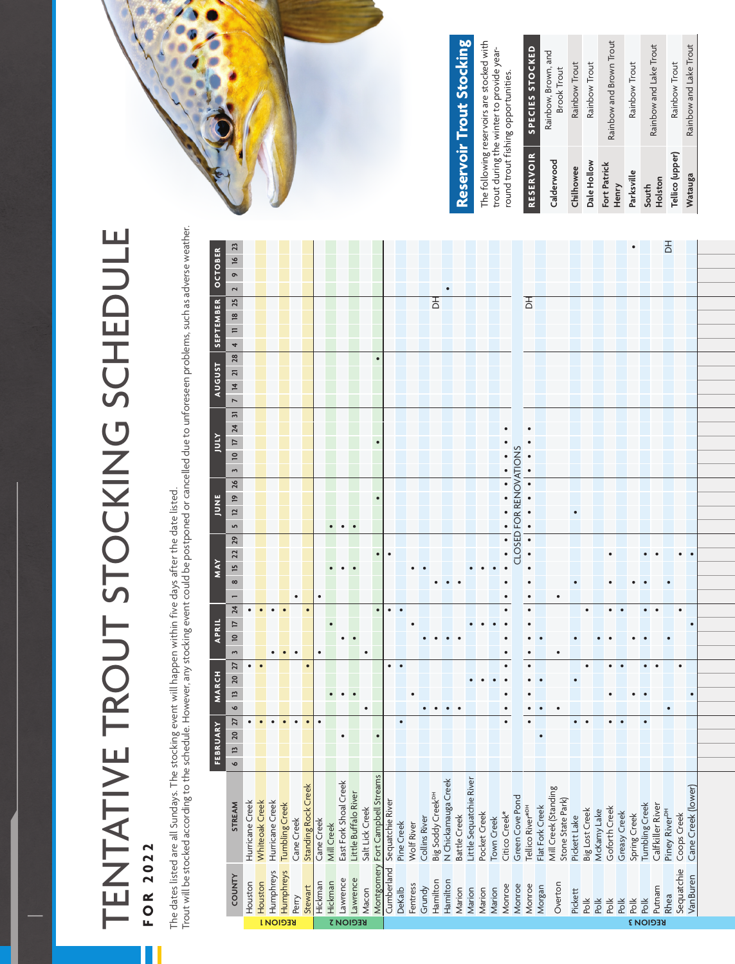## TENTATIVE TROUT STOCKING SCHEDULE TENTATIVE TROUT STOCKING SCHEDULE **FOR 2022 FOR 2022**

The dates listed are all Sundays. The stocking event will happen within five days after the date listed.<br>Trout will be stocked according to the schedule. However, any stocking event could be postponed or can The dates listed are all Sundays. The stocking event will happen within five days after the date listed.

| l                                            |
|----------------------------------------------|
| ï<br>j<br>j                                  |
| İ                                            |
| I                                            |
| ¢<br>٦                                       |
| i                                            |
| l<br>ı                                       |
| į                                            |
| ļ                                            |
| ۶<br>i                                       |
| ì<br>֖֖֖֖֚֚֚֚֚֚֚֬                            |
|                                              |
| ă                                            |
| j                                            |
|                                              |
| j<br>U<br>l                                  |
|                                              |
| ï                                            |
| ξ<br>ier                                     |
|                                              |
| l                                            |
| ļ<br>١                                       |
| I<br>١                                       |
| j                                            |
| ć<br>ΰ                                       |
| ì<br>I<br>l                                  |
| í<br>ï<br>j                                  |
| č                                            |
| $\overline{ }$                               |
| j                                            |
| ĵ                                            |
|                                              |
| $\mathbf{r}$<br>£                            |
|                                              |
| ١<br>ׇ֘֒                                     |
|                                              |
| l                                            |
| l<br>j                                       |
| l                                            |
| j<br>I                                       |
| ļ<br>ı                                       |
| ñ<br>j<br>ţ                                  |
| ś                                            |
| I<br>Ī.                                      |
| ٦                                            |
| Ò<br>J                                       |
| í                                            |
| $\overline{\mathbf{C}}$<br>֖֖֚֚֚֚֚֚֚֚֬֝<br>l |
| j<br>١                                       |
| t<br>١                                       |
| I<br>l<br>ł                                  |
| ţ<br>١                                       |
| J                                            |
| j<br>١                                       |
|                                              |
| ≒                                            |
| ī                                            |
| I                                            |
|                                              |
| ļ                                            |
| į                                            |
| Í<br>l                                       |
| ï<br>١                                       |
| ś                                            |
| ÿ                                            |
| j<br>i<br>j                                  |
|                                              |
|                                              |
|                                              |
| ÿ<br>ಕ<br>İ                                  |
|                                              |
| j<br>$\ddot{\phantom{0}}$<br>ı               |
| 5                                            |
| IJ                                           |
| Ŝ<br>i                                       |
| I                                            |
|                                              |
|                                              |
| ≘<br>ś                                       |
| ಕ                                            |
| à                                            |
| i                                            |
| š<br>j                                       |
| نّ                                           |
| ś                                            |
| İ                                            |
| g                                            |
| j                                            |
|                                              |
| I                                            |
| j<br>֠                                       |
|                                              |
|                                              |
|                                              |
| ١                                            |
| ì<br>ì                                       |
|                                              |
| l                                            |
|                                              |
|                                              |
|                                              |
| ì                                            |
|                                              |
|                                              |
|                                              |
|                                              |
|                                              |
|                                              |



## Reservoir Trout Stocking **Reservoir Trout Stocking**

The following reservoirs are stocked with The following reservoirs are stocked with trout during the winter to provide year-<br>round trout fishing opportunities. trout during the winter to provide yearround trout fishing opportunities.

**RESERVOIR SPECIES STOCKED**

RESERVOIR SPECIES STOCKED

| Dale Hollow           | Rainbow Trout           |
|-----------------------|-------------------------|
| Fort Patrick<br>Henry | Rainbow and Brown Trout |
| Parksville            | Rainbow Trout           |
| Holston<br>South      | Rainbow and Lake Trout  |
| Tellico (upper)       | Rainbow Trout           |
| Watauga               | Rainbow and Lake Trout  |